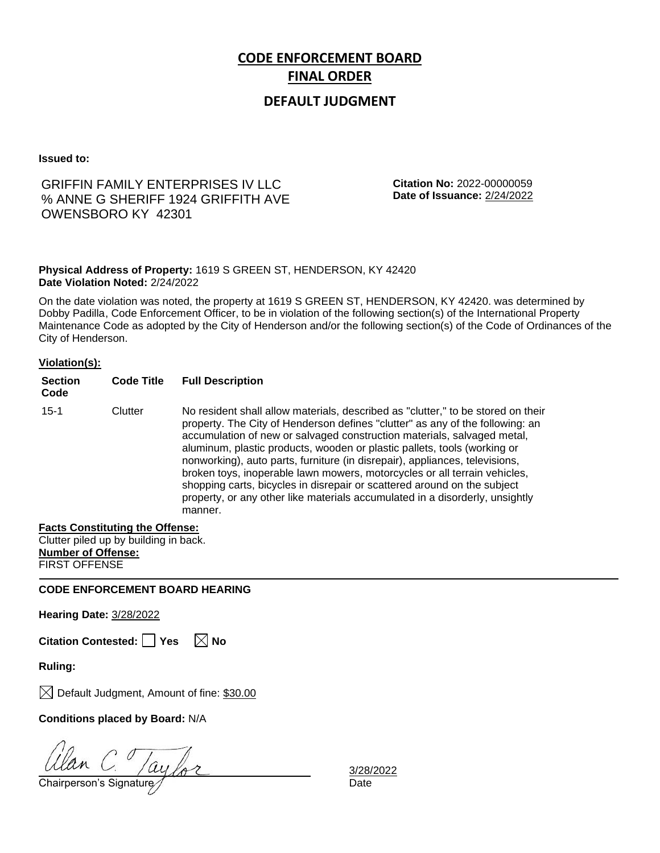## **DEFAULT JUDGMENT**

**Issued to:**

## GRIFFIN FAMILY ENTERPRISES IV LLC % ANNE G SHERIFF 1924 GRIFFITH AVE OWENSBORO KY 42301

**Citation No:** 2022-00000059 **Date of Issuance:** 2/24/2022

### **Physical Address of Property:** 1619 S GREEN ST, HENDERSON, KY 42420 **Date Violation Noted:** 2/24/2022

On the date violation was noted, the property at 1619 S GREEN ST, HENDERSON, KY 42420. was determined by Dobby Padilla, Code Enforcement Officer, to be in violation of the following section(s) of the International Property Maintenance Code as adopted by the City of Henderson and/or the following section(s) of the Code of Ordinances of the City of Henderson.

### **Violation(s):**

| <b>Section</b><br>Code | <b>Code Title</b> | <b>Full Description</b>                                                                                                                                                                                                                                                                                                                                                                                                                                                                                                                                                                                                                                     |
|------------------------|-------------------|-------------------------------------------------------------------------------------------------------------------------------------------------------------------------------------------------------------------------------------------------------------------------------------------------------------------------------------------------------------------------------------------------------------------------------------------------------------------------------------------------------------------------------------------------------------------------------------------------------------------------------------------------------------|
| $15 - 1$               | Clutter           | No resident shall allow materials, described as "clutter," to be stored on their<br>property. The City of Henderson defines "clutter" as any of the following: an<br>accumulation of new or salvaged construction materials, salvaged metal,<br>aluminum, plastic products, wooden or plastic pallets, tools (working or<br>nonworking), auto parts, furniture (in disrepair), appliances, televisions,<br>broken toys, inoperable lawn mowers, motorcycles or all terrain vehicles,<br>shopping carts, bicycles in disrepair or scattered around on the subject<br>property, or any other like materials accumulated in a disorderly, unsightly<br>manner. |

### **Facts Constituting the Offense:**

Clutter piled up by building in back. **Number of Offense:** FIRST OFFENSE

**CODE ENFORCEMENT BOARD HEARING**

**Hearing Date:** 3/28/2022

**Citation Contested:** □ Yes  $\ \ \mathbb{\times}$  No

**Ruling:**

 $\boxtimes$  Default Judgment, Amount of fine: \$30.00

**Conditions placed by Board:** N/A

 $\frac{d}{d}$ C.  $\frac{1}{d}$ C.  $\frac{1}{d}$ C.  $\frac{1}{d}$ Chairperson's Signature  $\frac{1}{d}$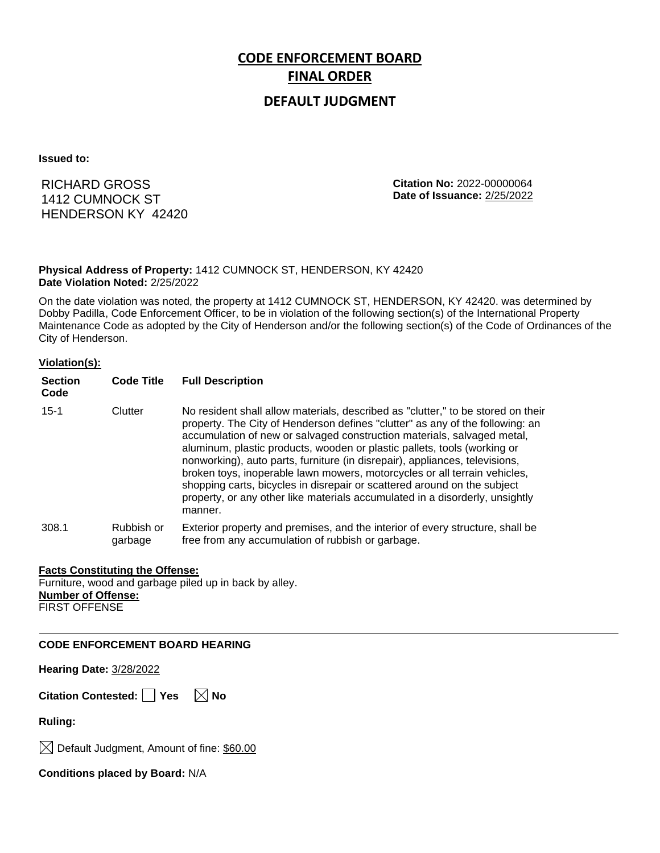## **DEFAULT JUDGMENT**

**Issued to:**

RICHARD GROSS 1412 CUMNOCK ST HENDERSON KY 42420 **Citation No:** 2022-00000064 **Date of Issuance:** 2/25/2022

### **Physical Address of Property:** 1412 CUMNOCK ST, HENDERSON, KY 42420 **Date Violation Noted:** 2/25/2022

On the date violation was noted, the property at 1412 CUMNOCK ST, HENDERSON, KY 42420. was determined by Dobby Padilla, Code Enforcement Officer, to be in violation of the following section(s) of the International Property Maintenance Code as adopted by the City of Henderson and/or the following section(s) of the Code of Ordinances of the City of Henderson.

### **Violation(s):**

| <b>Section</b><br>Code | <b>Code Title</b>     | <b>Full Description</b>                                                                                                                                                                                                                                                                                                                                                                                                                                                                                                                                                                                                                                     |
|------------------------|-----------------------|-------------------------------------------------------------------------------------------------------------------------------------------------------------------------------------------------------------------------------------------------------------------------------------------------------------------------------------------------------------------------------------------------------------------------------------------------------------------------------------------------------------------------------------------------------------------------------------------------------------------------------------------------------------|
| $15 - 1$               | Clutter               | No resident shall allow materials, described as "clutter," to be stored on their<br>property. The City of Henderson defines "clutter" as any of the following: an<br>accumulation of new or salvaged construction materials, salvaged metal,<br>aluminum, plastic products, wooden or plastic pallets, tools (working or<br>nonworking), auto parts, furniture (in disrepair), appliances, televisions,<br>broken toys, inoperable lawn mowers, motorcycles or all terrain vehicles,<br>shopping carts, bicycles in disrepair or scattered around on the subject<br>property, or any other like materials accumulated in a disorderly, unsightly<br>manner. |
| 308.1                  | Rubbish or<br>garbage | Exterior property and premises, and the interior of every structure, shall be<br>free from any accumulation of rubbish or garbage.                                                                                                                                                                                                                                                                                                                                                                                                                                                                                                                          |

### **Facts Constituting the Offense:**

Furniture, wood and garbage piled up in back by alley. **Number of Offense:** FIRST OFFENSE

**CODE ENFORCEMENT BOARD HEARING**

**Hearing Date:** 3/28/2022

**Citation Contested:** ■ Yes  $\ \ \mathbb{\times}$  No

**Ruling:**

 $\bowtie$  Default Judgment, Amount of fine: \$60.00

**Conditions placed by Board:** N/A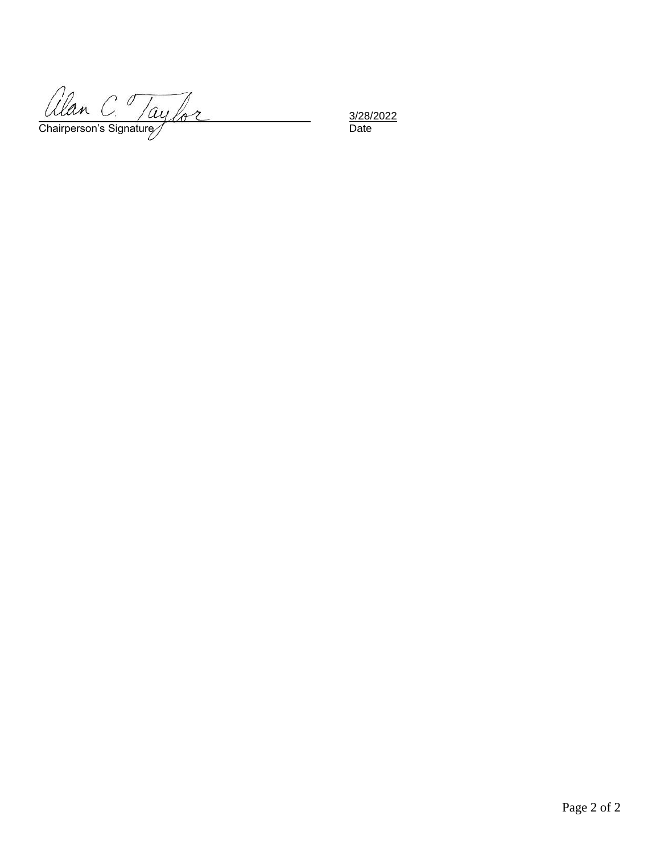allan C. Taylor

3/28/2022<br>Date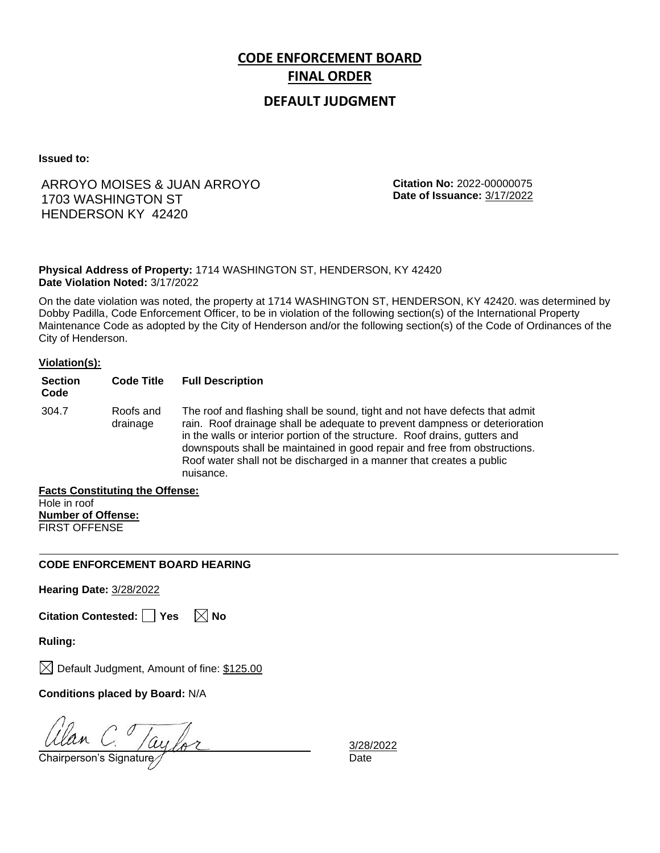## **DEFAULT JUDGMENT**

**Issued to:**

## ARROYO MOISES & JUAN ARROYO 1703 WASHINGTON ST HENDERSON KY 42420

**Citation No:** 2022-00000075 **Date of Issuance:** 3/17/2022

### **Physical Address of Property:** 1714 WASHINGTON ST, HENDERSON, KY 42420 **Date Violation Noted:** 3/17/2022

On the date violation was noted, the property at 1714 WASHINGTON ST, HENDERSON, KY 42420. was determined by Dobby Padilla, Code Enforcement Officer, to be in violation of the following section(s) of the International Property Maintenance Code as adopted by the City of Henderson and/or the following section(s) of the Code of Ordinances of the City of Henderson.

### **Violation(s):**

| <b>Section</b><br>Code                                                                          | <b>Code Title</b>     | <b>Full Description</b>                                                                                                                                                                                                                                                                                                                                                                                    |
|-------------------------------------------------------------------------------------------------|-----------------------|------------------------------------------------------------------------------------------------------------------------------------------------------------------------------------------------------------------------------------------------------------------------------------------------------------------------------------------------------------------------------------------------------------|
| 304.7                                                                                           | Roofs and<br>drainage | The roof and flashing shall be sound, tight and not have defects that admit<br>rain. Roof drainage shall be adequate to prevent dampness or deterioration<br>in the walls or interior portion of the structure. Roof drains, gutters and<br>downspouts shall be maintained in good repair and free from obstructions.<br>Roof water shall not be discharged in a manner that creates a public<br>nuisance. |
| $\mathbf{F}$ , and $\mathbf{A}$ , and the state of the $\mathbf{A}$ $\mathbf{B}$ , $\mathbf{A}$ |                       |                                                                                                                                                                                                                                                                                                                                                                                                            |

**Facts Constituting the Offense:** Hole in roof **Number of Offense:** FIRST OFFENSE

### **CODE ENFORCEMENT BOARD HEARING**

**Hearing Date:** 3/28/2022

| Citation Contested: Yes |  |  | $\boxtimes$ No |
|-------------------------|--|--|----------------|
|-------------------------|--|--|----------------|

**Ruling:**

 $\boxtimes$  Default Judgment, Amount of fine: \$125.00

**Conditions placed by Board:** N/A

Ulan C. ay for 3/28/<br>Chairperson's Signature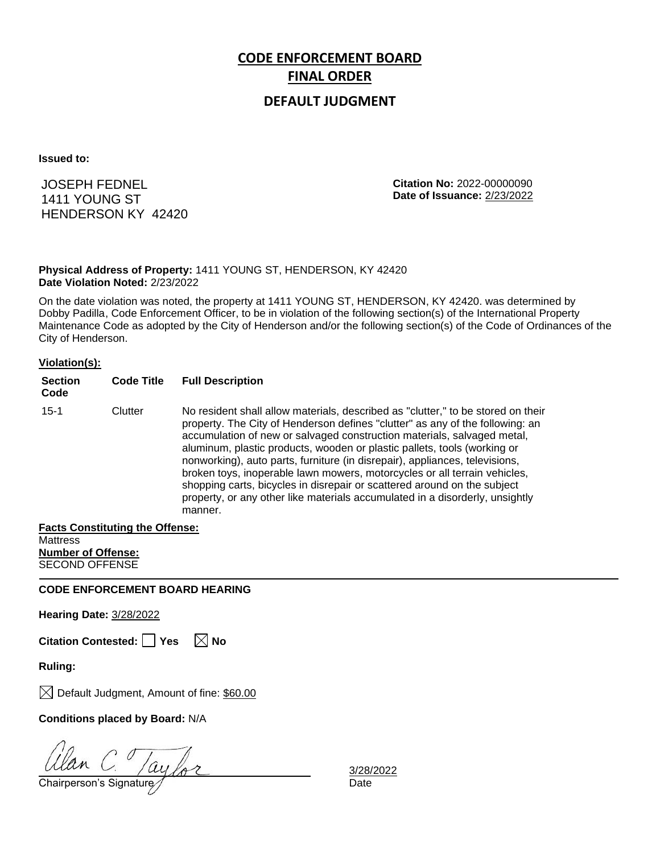### **DEFAULT JUDGMENT**

**Issued to:**

JOSEPH FEDNEL 1411 YOUNG ST HENDERSON KY 42420 **Citation No:** 2022-00000090 **Date of Issuance:** 2/23/2022

### **Physical Address of Property:** 1411 YOUNG ST, HENDERSON, KY 42420 **Date Violation Noted:** 2/23/2022

On the date violation was noted, the property at 1411 YOUNG ST, HENDERSON, KY 42420. was determined by Dobby Padilla, Code Enforcement Officer, to be in violation of the following section(s) of the International Property Maintenance Code as adopted by the City of Henderson and/or the following section(s) of the Code of Ordinances of the City of Henderson.

#### **Violation(s):**

| <b>Section</b><br>Code | <b>Code Title</b> | <b>Full Description</b>                                                                                                                                                                                                                                                                                                                                                                                                                                                                                                                                                                                                                                     |
|------------------------|-------------------|-------------------------------------------------------------------------------------------------------------------------------------------------------------------------------------------------------------------------------------------------------------------------------------------------------------------------------------------------------------------------------------------------------------------------------------------------------------------------------------------------------------------------------------------------------------------------------------------------------------------------------------------------------------|
| $15 - 1$               | Clutter           | No resident shall allow materials, described as "clutter," to be stored on their<br>property. The City of Henderson defines "clutter" as any of the following: an<br>accumulation of new or salvaged construction materials, salvaged metal,<br>aluminum, plastic products, wooden or plastic pallets, tools (working or<br>nonworking), auto parts, furniture (in disrepair), appliances, televisions,<br>broken toys, inoperable lawn mowers, motorcycles or all terrain vehicles,<br>shopping carts, bicycles in disrepair or scattered around on the subject<br>property, or any other like materials accumulated in a disorderly, unsightly<br>manner. |

#### **Facts Constituting the Offense:**

**Mattress Number of Offense:** SECOND OFFENSE

**CODE ENFORCEMENT BOARD HEARING**

**Hearing Date:** 3/28/2022

**Citation Contested:** ■ Yes  $\ \ \mathbb{\times}$  No

**Ruling:**

 $\boxtimes$  Default Judgment, Amount of fine: \$60.00

**Conditions placed by Board:** N/A

 $\frac{d}{d}$  C.  $\frac{1}{d}$  C.  $\frac{1}{d}$  C.  $\frac{1}{d}$  Chairperson's Signature  $\frac{1}{d}$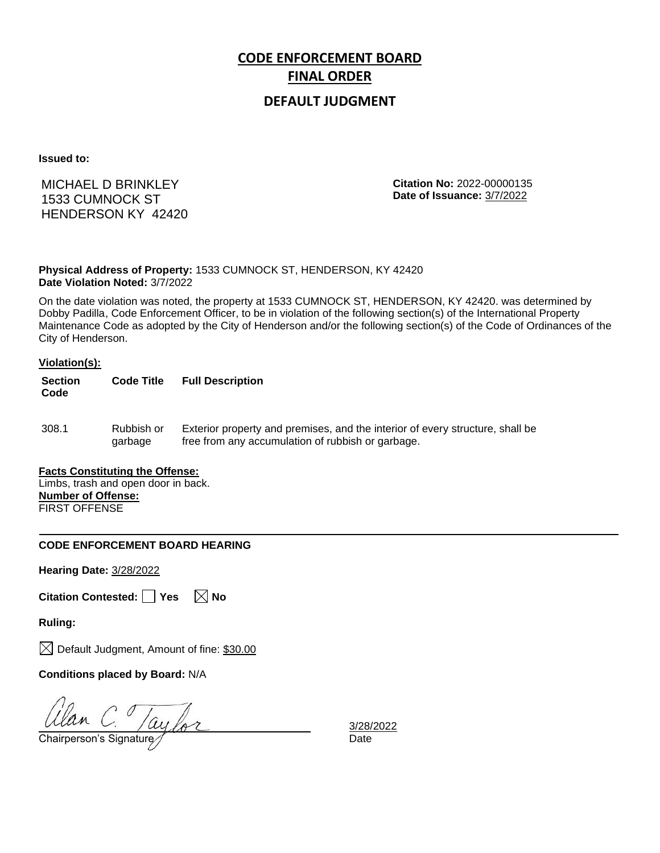## **DEFAULT JUDGMENT**

**Issued to:**

MICHAEL D BRINKLEY 1533 CUMNOCK ST HENDERSON KY 42420 **Citation No:** 2022-00000135 **Date of Issuance:** 3/7/2022

**Physical Address of Property:** 1533 CUMNOCK ST, HENDERSON, KY 42420 **Date Violation Noted:** 3/7/2022

On the date violation was noted, the property at 1533 CUMNOCK ST, HENDERSON, KY 42420. was determined by Dobby Padilla, Code Enforcement Officer, to be in violation of the following section(s) of the International Property Maintenance Code as adopted by the City of Henderson and/or the following section(s) of the Code of Ordinances of the City of Henderson.

#### **Violation(s):**

| <b>Section</b><br>Code | <b>Code Title</b>     | <b>Full Description</b>                                                                                                            |
|------------------------|-----------------------|------------------------------------------------------------------------------------------------------------------------------------|
| 308.1                  | Rubbish or<br>garbage | Exterior property and premises, and the interior of every structure, shall be<br>free from any accumulation of rubbish or garbage. |

### **Facts Constituting the Offense:**

Limbs, trash and open door in back. **Number of Offense:** FIRST OFFENSE

### **CODE ENFORCEMENT BOARD HEARING**

**Hearing Date:** 3/28/2022

**Citation Contested:** Yes  $\boxtimes$  No

**Ruling:**

 $\boxtimes$  Default Judgment, Amount of fine: \$30.00

**Conditions placed by Board:** N/A

 $\frac{Ulan}{C}$   $\frac{Vay}{C}$   $\frac{2128}{C}$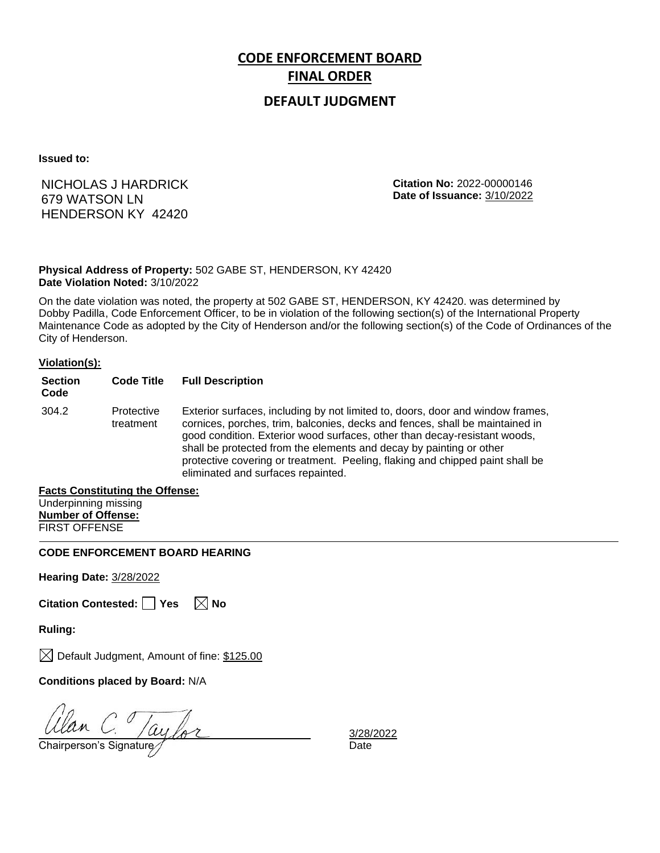## **DEFAULT JUDGMENT**

**Issued to:**

## NICHOLAS J HARDRICK 679 WATSON LN HENDERSON KY 42420

**Citation No:** 2022-00000146 **Date of Issuance:** 3/10/2022

### **Physical Address of Property:** 502 GABE ST, HENDERSON, KY 42420 **Date Violation Noted:** 3/10/2022

On the date violation was noted, the property at 502 GABE ST, HENDERSON, KY 42420. was determined by Dobby Padilla, Code Enforcement Officer, to be in violation of the following section(s) of the International Property Maintenance Code as adopted by the City of Henderson and/or the following section(s) of the Code of Ordinances of the City of Henderson.

### **Violation(s):**

| <b>Section</b><br>Code | <b>Code Title</b>       | <b>Full Description</b>                                                                                                                                                                                                                                                                                                                                                                                                                   |
|------------------------|-------------------------|-------------------------------------------------------------------------------------------------------------------------------------------------------------------------------------------------------------------------------------------------------------------------------------------------------------------------------------------------------------------------------------------------------------------------------------------|
| 304.2                  | Protective<br>treatment | Exterior surfaces, including by not limited to, doors, door and window frames,<br>cornices, porches, trim, balconies, decks and fences, shall be maintained in<br>good condition. Exterior wood surfaces, other than decay-resistant woods,<br>shall be protected from the elements and decay by painting or other<br>protective covering or treatment. Peeling, flaking and chipped paint shall be<br>eliminated and surfaces repainted. |

#### **Facts Constituting the Offense:**

| Underpinning missing      |
|---------------------------|
| <b>Number of Offense:</b> |
| <b>FIRST OFFENSE</b>      |

### **CODE ENFORCEMENT BOARD HEARING**

**Hearing Date:** 3/28/2022

**Citation Contested: Yes No**

**Ruling:**

 $\bowtie$  Default Judgment, Amount of fine: \$125.00

**Conditions placed by Board:** N/A

 $G \over \frac{1}{2}$ Chairperson's Signature  $\frac{1}{2}$